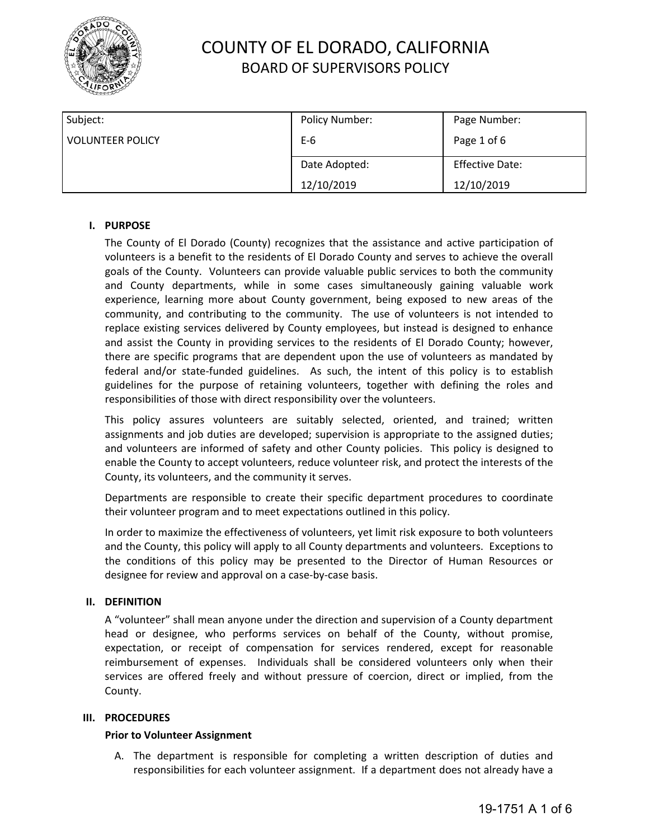

| Subject:                | Policy Number: | Page Number:           |
|-------------------------|----------------|------------------------|
| <b>VOLUNTEER POLICY</b> | $E-6$          | Page 1 of 6            |
|                         | Date Adopted:  | <b>Effective Date:</b> |
|                         | 12/10/2019     | 12/10/2019             |

### **I. PURPOSE**

The County of El Dorado (County) recognizes that the assistance and active participation of volunteers is a benefit to the residents of El Dorado County and serves to achieve the overall goals of the County. Volunteers can provide valuable public services to both the community and County departments, while in some cases simultaneously gaining valuable work experience, learning more about County government, being exposed to new areas of the community, and contributing to the community. The use of volunteers is not intended to replace existing services delivered by County employees, but instead is designed to enhance and assist the County in providing services to the residents of El Dorado County; however, there are specific programs that are dependent upon the use of volunteers as mandated by federal and/or state-funded guidelines. As such, the intent of this policy is to establish guidelines for the purpose of retaining volunteers, together with defining the roles and responsibilities of those with direct responsibility over the volunteers.

This policy assures volunteers are suitably selected, oriented, and trained; written assignments and job duties are developed; supervision is appropriate to the assigned duties; and volunteers are informed of safety and other County policies. This policy is designed to enable the County to accept volunteers, reduce volunteer risk, and protect the interests of the County, its volunteers, and the community it serves.

Departments are responsible to create their specific department procedures to coordinate their volunteer program and to meet expectations outlined in this policy.

In order to maximize the effectiveness of volunteers, yet limit risk exposure to both volunteers and the County, this policy will apply to all County departments and volunteers. Exceptions to the conditions of this policy may be presented to the Director of Human Resources or designee for review and approval on a case-by-case basis.

### **II. DEFINITION**

A "volunteer" shall mean anyone under the direction and supervision of a County department head or designee, who performs services on behalf of the County, without promise, expectation, or receipt of compensation for services rendered, except for reasonable reimbursement of expenses. Individuals shall be considered volunteers only when their services are offered freely and without pressure of coercion, direct or implied, from the County.

### **III. PROCEDURES**

### **Prior to Volunteer Assignment**

A. The department is responsible for completing a written description of duties and responsibilities for each volunteer assignment. If a department does not already have a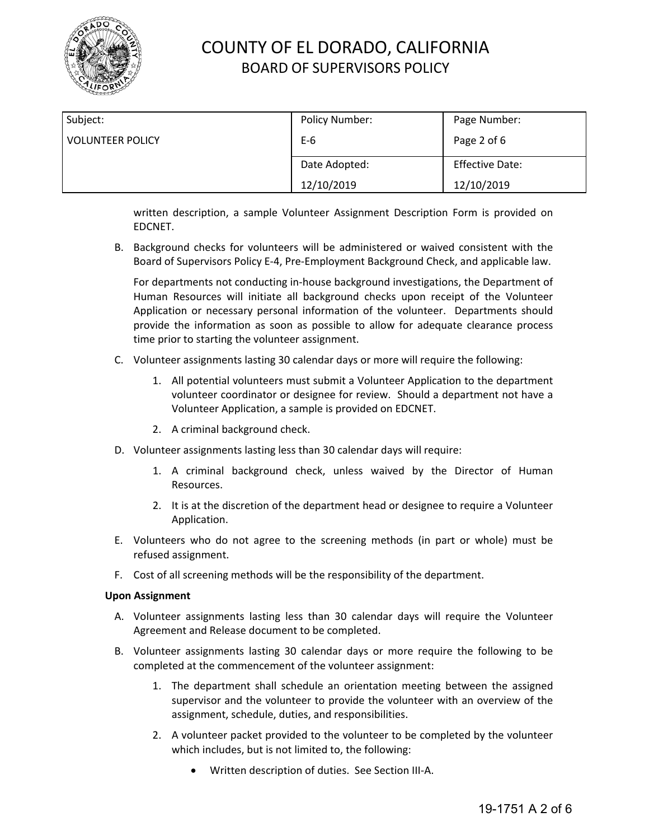

| Subject:                | Policy Number: | Page Number:           |
|-------------------------|----------------|------------------------|
| <b>VOLUNTEER POLICY</b> | $E-6$          | Page 2 of 6            |
|                         | Date Adopted:  | <b>Effective Date:</b> |
|                         | 12/10/2019     | 12/10/2019             |

written description, a sample Volunteer Assignment Description Form is provided on EDCNET.

B. Background checks for volunteers will be administered or waived consistent with the Board of Supervisors Policy E-4, Pre-Employment Background Check, and applicable law.

For departments not conducting in-house background investigations, the Department of Human Resources will initiate all background checks upon receipt of the Volunteer Application or necessary personal information of the volunteer. Departments should provide the information as soon as possible to allow for adequate clearance process time prior to starting the volunteer assignment.

- C. Volunteer assignments lasting 30 calendar days or more will require the following:
	- 1. All potential volunteers must submit a Volunteer Application to the department volunteer coordinator or designee for review. Should a department not have a Volunteer Application, a sample is provided on EDCNET.
	- 2. A criminal background check.
- D. Volunteer assignments lasting less than 30 calendar days will require:
	- 1. A criminal background check, unless waived by the Director of Human Resources.
	- 2. It is at the discretion of the department head or designee to require a Volunteer Application.
- E. Volunteers who do not agree to the screening methods (in part or whole) must be refused assignment.
- F. Cost of all screening methods will be the responsibility of the department.

#### **Upon Assignment**

- A. Volunteer assignments lasting less than 30 calendar days will require the Volunteer Agreement and Release document to be completed.
- B. Volunteer assignments lasting 30 calendar days or more require the following to be completed at the commencement of the volunteer assignment:
	- 1. The department shall schedule an orientation meeting between the assigned supervisor and the volunteer to provide the volunteer with an overview of the assignment, schedule, duties, and responsibilities.
	- 2. A volunteer packet provided to the volunteer to be completed by the volunteer which includes, but is not limited to, the following:
		- Written description of duties. See Section III-A.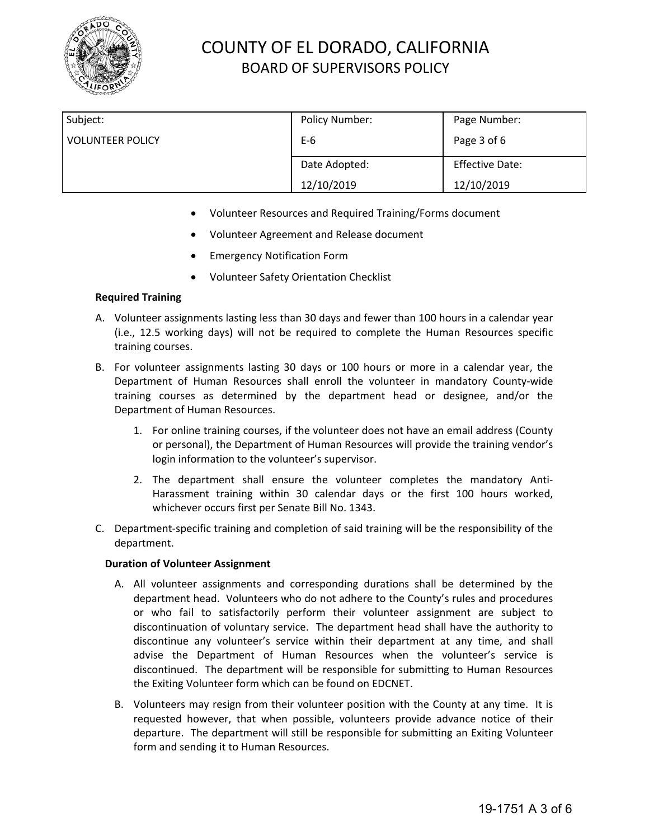

| Subject:                | Policy Number: | Page Number:           |
|-------------------------|----------------|------------------------|
| <b>VOLUNTEER POLICY</b> | $E-6$          | Page 3 of 6            |
|                         | Date Adopted:  | <b>Effective Date:</b> |
|                         | 12/10/2019     | 12/10/2019             |

- Volunteer Resources and Required Training/Forms document
- Volunteer Agreement and Release document
- Emergency Notification Form
- Volunteer Safety Orientation Checklist

### **Required Training**

- A. Volunteer assignments lasting less than 30 days and fewer than 100 hours in a calendar year (i.e., 12.5 working days) will not be required to complete the Human Resources specific training courses.
- B. For volunteer assignments lasting 30 days or 100 hours or more in a calendar year, the Department of Human Resources shall enroll the volunteer in mandatory County-wide training courses as determined by the department head or designee, and/or the Department of Human Resources.
	- 1. For online training courses, if the volunteer does not have an email address (County or personal), the Department of Human Resources will provide the training vendor's login information to the volunteer's supervisor.
	- 2. The department shall ensure the volunteer completes the mandatory Anti-Harassment training within 30 calendar days or the first 100 hours worked, whichever occurs first per Senate Bill No. 1343.
- C. Department-specific training and completion of said training will be the responsibility of the department.

### **Duration of Volunteer Assignment**

- A. All volunteer assignments and corresponding durations shall be determined by the department head. Volunteers who do not adhere to the County's rules and procedures or who fail to satisfactorily perform their volunteer assignment are subject to discontinuation of voluntary service. The department head shall have the authority to discontinue any volunteer's service within their department at any time, and shall advise the Department of Human Resources when the volunteer's service is discontinued. The department will be responsible for submitting to Human Resources the Exiting Volunteer form which can be found on EDCNET.
- B. Volunteers may resign from their volunteer position with the County at any time. It is requested however, that when possible, volunteers provide advance notice of their departure. The department will still be responsible for submitting an Exiting Volunteer form and sending it to Human Resources.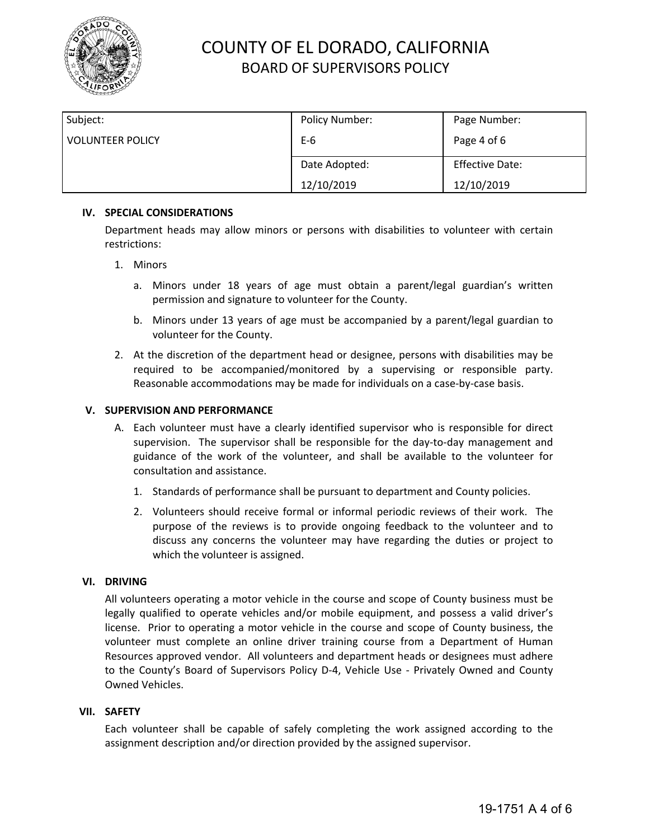

| Subject:                | Policy Number: | Page Number:           |
|-------------------------|----------------|------------------------|
| <b>VOLUNTEER POLICY</b> | $E-6$          | Page 4 of 6            |
|                         | Date Adopted:  | <b>Effective Date:</b> |
|                         | 12/10/2019     | 12/10/2019             |

### **IV. SPECIAL CONSIDERATIONS**

Department heads may allow minors or persons with disabilities to volunteer with certain restrictions:

- 1. Minors
	- a. Minors under 18 years of age must obtain a parent/legal guardian's written permission and signature to volunteer for the County.
	- b. Minors under 13 years of age must be accompanied by a parent/legal guardian to volunteer for the County.
- 2. At the discretion of the department head or designee, persons with disabilities may be required to be accompanied/monitored by a supervising or responsible party. Reasonable accommodations may be made for individuals on a case-by-case basis.

### **V. SUPERVISION AND PERFORMANCE**

- A. Each volunteer must have a clearly identified supervisor who is responsible for direct supervision. The supervisor shall be responsible for the day-to-day management and guidance of the work of the volunteer, and shall be available to the volunteer for consultation and assistance.
	- 1. Standards of performance shall be pursuant to department and County policies.
	- 2. Volunteers should receive formal or informal periodic reviews of their work. The purpose of the reviews is to provide ongoing feedback to the volunteer and to discuss any concerns the volunteer may have regarding the duties or project to which the volunteer is assigned.

#### **VI. DRIVING**

All volunteers operating a motor vehicle in the course and scope of County business must be legally qualified to operate vehicles and/or mobile equipment, and possess a valid driver's license. Prior to operating a motor vehicle in the course and scope of County business, the volunteer must complete an online driver training course from a Department of Human Resources approved vendor. All volunteers and department heads or designees must adhere to the County's Board of Supervisors Policy D-4, [Vehicle Use - Privately Owned and County](https://www.edcgov.us/Government/BOS/Policies/documents/d-4%20policy%20rev%204-11-17.pdf) [Owned Vehicles.](https://www.edcgov.us/Government/BOS/Policies/documents/d-4%20policy%20rev%204-11-17.pdf)

### **VII. SAFETY**

Each volunteer shall be capable of safely completing the work assigned according to the assignment description and/or direction provided by the assigned supervisor.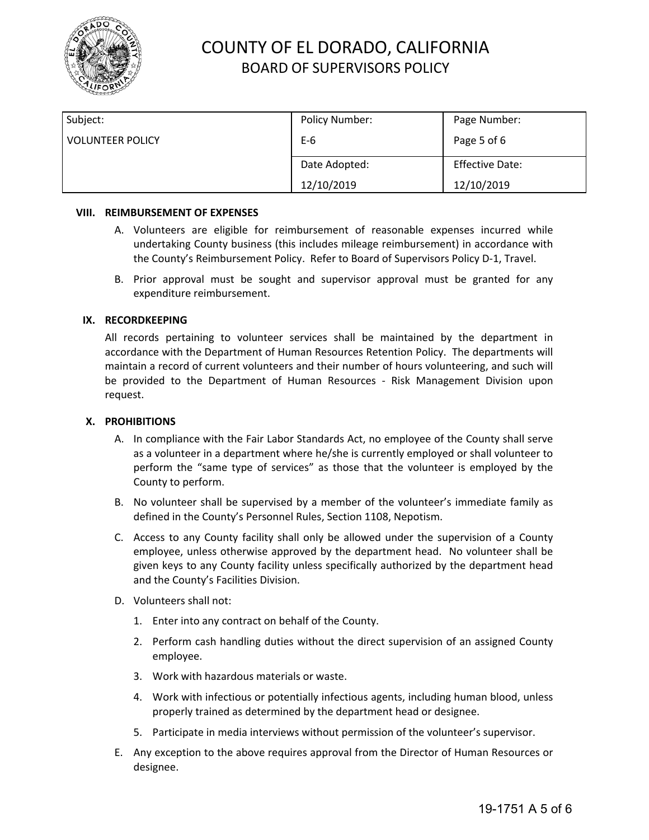

| Subject:                | Policy Number: | Page Number:           |
|-------------------------|----------------|------------------------|
| <b>VOLUNTEER POLICY</b> | $E-6$          | Page 5 of 6            |
|                         | Date Adopted:  | <b>Effective Date:</b> |
|                         | 12/10/2019     | 12/10/2019             |

#### **VIII. REIMBURSEMENT OF EXPENSES**

- A. Volunteers are eligible for reimbursement of reasonable expenses incurred while undertaking County business (this includes mileage reimbursement) in accordance with the County's Reimbursement Policy. Refer to Board of Supervisors Policy D-1, Travel.
- B. Prior approval must be sought and supervisor approval must be granted for any expenditure reimbursement.

### **IX. RECORDKEEPING**

All records pertaining to volunteer services shall be maintained by the department in accordance with the Department of Human Resources Retention Policy. The departments will maintain a record of current volunteers and their number of hours volunteering, and such will be provided to the Department of Human Resources - Risk Management Division upon request.

#### **X. PROHIBITIONS**

- A. In compliance with the Fair Labor Standards Act, no employee of the County shall serve as a volunteer in a department where he/she is currently employed or shall volunteer to perform the "same type of services" as those that the volunteer is employed by the County to perform.
- B. No volunteer shall be supervised by a member of the volunteer's immediate family as defined in the County's Personnel Rules, Section 1108, Nepotism.
- C. Access to any County facility shall only be allowed under the supervision of a County employee, unless otherwise approved by the department head. No volunteer shall be given keys to any County facility unless specifically authorized by the department head and the County's Facilities Division.
- D. Volunteers shall not:
	- 1. Enter into any contract on behalf of the County.
	- 2. Perform cash handling duties without the direct supervision of an assigned County employee.
	- 3. Work with hazardous materials or waste.
	- 4. Work with infectious or potentially infectious agents, including human blood, unless properly trained as determined by the department head or designee.
	- 5. Participate in media interviews without permission of the volunteer's supervisor.
- E. Any exception to the above requires approval from the Director of Human Resources or designee.